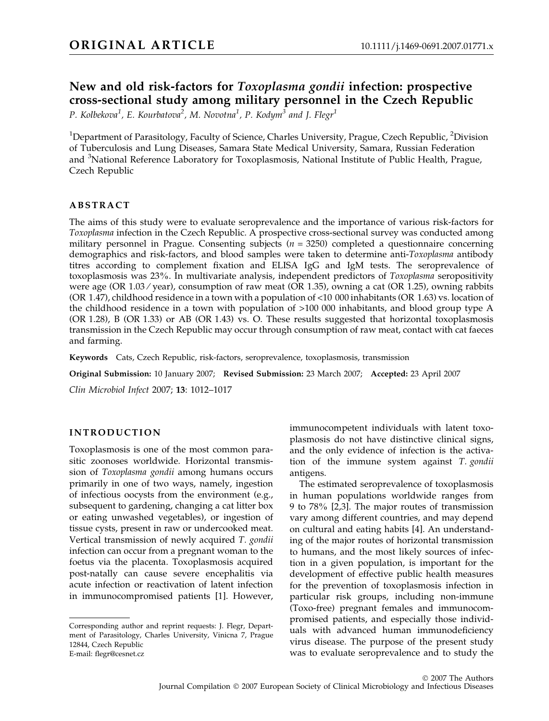# New and old risk-factors for Toxoplasma gondii infection: prospective cross-sectional study among military personnel in the Czech Republic

P. Kolbekova<sup>1</sup>, E. Kourbatova<sup>2</sup>, M. Novotna<sup>1</sup>, P. Kodym<sup>3</sup> and J. Flegr<sup>1</sup>

 $^1$ Department of Parasitology, Faculty of Science, Charles University, Prague, Czech Republic,  $^2$ Division of Tuberculosis and Lung Diseases, Samara State Medical University, Samara, Russian Federation and <sup>3</sup>National Reference Laboratory for Toxoplasmosis, National Institute of Public Health, Prague, Czech Republic

# ABSTRACT

The aims of this study were to evaluate seroprevalence and the importance of various risk-factors for Toxoplasma infection in the Czech Republic. A prospective cross-sectional survey was conducted among military personnel in Prague. Consenting subjects ( $n = 3250$ ) completed a questionnaire concerning demographics and risk-factors, and blood samples were taken to determine anti-Toxoplasma antibody titres according to complement fixation and ELISA IgG and IgM tests. The seroprevalence of toxoplasmosis was 23%. In multivariate analysis, independent predictors of Toxoplasma seropositivity were age (OR 1.03 ⁄ year), consumption of raw meat (OR 1.35), owning a cat (OR 1.25), owning rabbits (OR 1.47), childhood residence in a town with a population of <10 000 inhabitants (OR 1.63) vs. location of the childhood residence in a town with population of >100 000 inhabitants, and blood group type A (OR 1.28), B (OR 1.33) or AB (OR 1.43) vs. O. These results suggested that horizontal toxoplasmosis transmission in the Czech Republic may occur through consumption of raw meat, contact with cat faeces and farming.

Keywords Cats, Czech Republic, risk-factors, seroprevalence, toxoplasmosis, transmission

Original Submission: 10 January 2007; Revised Submission: 23 March 2007; Accepted: 23 April 2007

Clin Microbiol Infect 2007; 13: 1012–1017

# INTRODUCTION

Toxoplasmosis is one of the most common parasitic zoonoses worldwide. Horizontal transmission of Toxoplasma gondii among humans occurs primarily in one of two ways, namely, ingestion of infectious oocysts from the environment (e.g., subsequent to gardening, changing a cat litter box or eating unwashed vegetables), or ingestion of tissue cysts, present in raw or undercooked meat. Vertical transmission of newly acquired T. gondii infection can occur from a pregnant woman to the foetus via the placenta. Toxoplasmosis acquired post-natally can cause severe encephalitis via acute infection or reactivation of latent infection in immunocompromised patients [1]. However, immunocompetent individuals with latent toxoplasmosis do not have distinctive clinical signs, and the only evidence of infection is the activation of the immune system against T. gondii antigens.

The estimated seroprevalence of toxoplasmosis in human populations worldwide ranges from 9 to 78% [2,3]. The major routes of transmission vary among different countries, and may depend on cultural and eating habits [4]. An understanding of the major routes of horizontal transmission to humans, and the most likely sources of infection in a given population, is important for the development of effective public health measures for the prevention of toxoplasmosis infection in particular risk groups, including non-immune (Toxo-free) pregnant females and immunocompromised patients, and especially those individuals with advanced human immunodeficiency virus disease. The purpose of the present study was to evaluate seroprevalence and to study the

Corresponding author and reprint requests: J. Flegr, Department of Parasitology, Charles University, Vinicna 7, Prague 12844, Czech Republic E-mail: flegr@cesnet.cz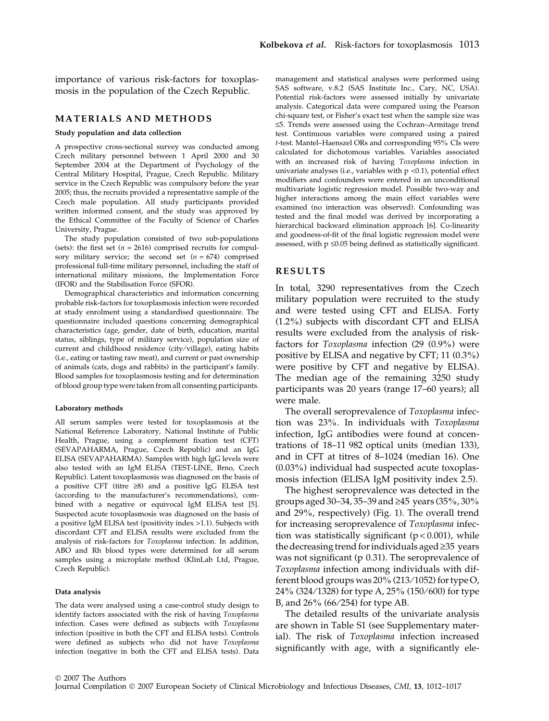importance of various risk-factors for toxoplasmosis in the population of the Czech Republic.

### MATERIALS AND METHODS

#### Study population and data collection

A prospective cross-sectional survey was conducted among Czech military personnel between 1 April 2000 and 30 September 2004 at the Department of Psychology of the Central Military Hospital, Prague, Czech Republic. Military service in the Czech Republic was compulsory before the year 2005; thus, the recruits provided a representative sample of the Czech male population. All study participants provided written informed consent, and the study was approved by the Ethical Committee of the Faculty of Science of Charles University, Prague.

The study population consisted of two sub-populations (sets): the first set  $(n = 2616)$  comprised recruits for compulsory military service; the second set  $(n = 674)$  comprised professional full-time military personnel, including the staff of international military missions, the Implementation Force (IFOR) and the Stabilisation Force (SFOR).

Demographical characteristics and information concerning probable risk-factors for toxoplasmosis infection were recorded at study enrolment using a standardised questionnaire. The questionnaire included questions concerning demographical characteristics (age, gender, date of birth, education, marital status, siblings, type of military service), population size of current and childhood residence (city ⁄ village), eating habits (i.e., eating or tasting raw meat), and current or past ownership of animals (cats, dogs and rabbits) in the participant's family. Blood samples for toxoplasmosis testing and for determination of blood group type were taken from all consenting participants.

#### Laboratory methods

All serum samples were tested for toxoplasmosis at the National Reference Laboratory, National Institute of Public Health, Prague, using a complement fixation test (CFT) (SEVAPAHARMA, Prague, Czech Republic) and an IgG ELISA (SEVAPAHARMA). Samples with high IgG levels were also tested with an IgM ELISA (TEST-LINE, Brno, Czech Republic). Latent toxoplasmosis was diagnosed on the basis of a positive CFT (titre  $\geq 8$ ) and a positive IgG ELISA test (according to the manufacturer's recommendations), combined with a negative or equivocal IgM ELISA test [5]. Suspected acute toxoplasmosis was diagnosed on the basis of a positive IgM ELISA test (positivity index >1.1). Subjects with discordant CFT and ELISA results were excluded from the analysis of risk-factors for Toxoplasma infection. In addition, ABO and Rh blood types were determined for all serum samples using a microplate method (KlinLab Ltd, Prague, Czech Republic).

#### Data analysis

The data were analysed using a case-control study design to identify factors associated with the risk of having Toxoplasma infection. Cases were defined as subjects with Toxoplasma infection (positive in both the CFT and ELISA tests). Controls were defined as subjects who did not have Toxoplasma infection (negative in both the CFT and ELISA tests). Data management and statistical analyses were performed using SAS software, v.8.2 (SAS Institute Inc., Cary, NC, USA). Potential risk-factors were assessed initially by univariate analysis. Categorical data were compared using the Pearson chi-square test, or Fisher's exact test when the sample size was £5. Trends were assessed using the Cochran–Armitage trend test. Continuous variables were compared using a paired t-test. Mantel–Haenszel ORs and corresponding 95% CIs were calculated for dichotomous variables. Variables associated with an increased risk of having Toxoplasma infection in univariate analyses (i.e., variables with  $p < 0.1$ ), potential effect modifiers and confounders were entered in an unconditional multivariate logistic regression model. Possible two-way and higher interactions among the main effect variables were examined (no interaction was observed). Confounding was tested and the final model was derived by incorporating a hierarchical backward elimination approach [6]. Co-linearity and goodness-of-fit of the final logistic regression model were assessed, with  $p \leq 0.05$  being defined as statistically significant.

#### RESULTS

In total, 3290 representatives from the Czech military population were recruited to the study and were tested using CFT and ELISA. Forty (1.2%) subjects with discordant CFT and ELISA results were excluded from the analysis of riskfactors for Toxoplasma infection (29 (0.9%) were positive by ELISA and negative by CFT; 11 (0.3%) were positive by CFT and negative by ELISA). The median age of the remaining 3250 study participants was 20 years (range 17–60 years); all were male.

The overall seroprevalence of Toxoplasma infection was 23%. In individuals with Toxoplasma infection, IgG antibodies were found at concentrations of 18–11 982 optical units (median 133), and in CFT at titres of 8–1024 (median 16). One (0.03%) individual had suspected acute toxoplasmosis infection (ELISA IgM positivity index 2.5).

The highest seroprevalence was detected in the groups aged 30–34, 35–39 and  $\geq$ 45 years (35%, 30%) and 29%, respectively) (Fig. 1). The overall trend for increasing seroprevalence of Toxoplasma infection was statistically significant  $(p < 0.001)$ , while the decreasing trend for individuals aged  $\geq$ 35 years was not significant (p 0.31). The seroprevalence of Toxoplasma infection among individuals with different blood groups was 20% (213/1052) for type O, 24% (324/1328) for type A, 25% (150/600) for type B, and  $26\%$  (66/254) for type AB.

The detailed results of the univariate analysis are shown in Table S1 (see Supplementary material). The risk of Toxoplasma infection increased significantly with age, with a significantly ele-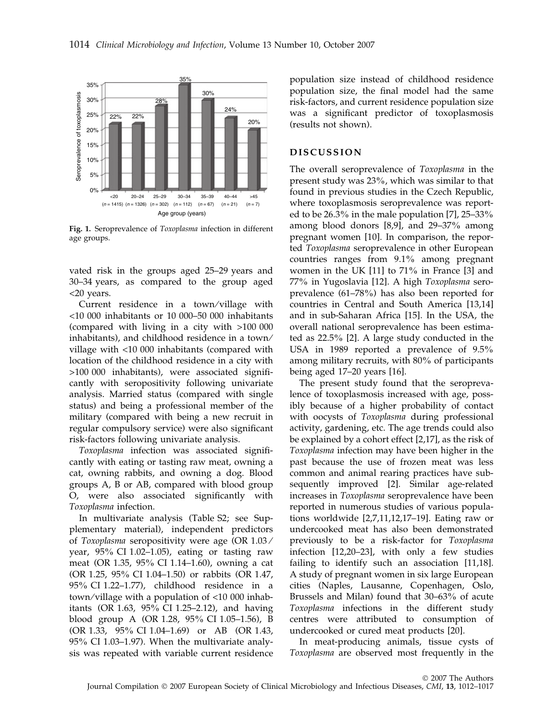

Fig. 1. Seroprevalence of Toxoplasma infection in different age groups.

vated risk in the groups aged 25–29 years and 30–34 years, as compared to the group aged <20 years.

Current residence in a town/village with <10 000 inhabitants or 10 000–50 000 inhabitants (compared with living in a city with >100 000 inhabitants), and childhood residence in a town ⁄ village with <10 000 inhabitants (compared with location of the childhood residence in a city with >100 000 inhabitants), were associated significantly with seropositivity following univariate analysis. Married status (compared with single status) and being a professional member of the military (compared with being a new recruit in regular compulsory service) were also significant risk-factors following univariate analysis.

Toxoplasma infection was associated significantly with eating or tasting raw meat, owning a cat, owning rabbits, and owning a dog. Blood groups A, B or AB, compared with blood group O, were also associated significantly with Toxoplasma infection.

In multivariate analysis (Table S2; see Supplementary material), independent predictors of Toxoplasma seropositivity were age (OR 1.03 ⁄ year, 95% CI 1.02–1.05), eating or tasting raw meat (OR 1.35, 95% CI 1.14–1.60), owning a cat (OR 1.25, 95% CI 1.04–1.50) or rabbits (OR 1.47, 95% CI 1.22–1.77), childhood residence in a town/village with a population of  $\langle 10\ 000\ \text{inhab}$ itants (OR 1.63, 95% CI 1.25–2.12), and having blood group A (OR 1.28, 95% CI 1.05–1.56), B (OR 1.33, 95% CI 1.04–1.69) or AB (OR 1.43, 95% CI 1.03–1.97). When the multivariate analysis was repeated with variable current residence population size instead of childhood residence population size, the final model had the same risk-factors, and current residence population size was a significant predictor of toxoplasmosis (results not shown).

# DISCUSSION

The overall seroprevalence of Toxoplasma in the present study was 23%, which was similar to that found in previous studies in the Czech Republic, where toxoplasmosis seroprevalence was reported to be 26.3% in the male population [7], 25–33% among blood donors [8,9], and 29–37% among pregnant women [10]. In comparison, the reported Toxoplasma seroprevalence in other European countries ranges from 9.1% among pregnant women in the UK [11] to 71% in France [3] and 77% in Yugoslavia [12]. A high Toxoplasma seroprevalence (61–78%) has also been reported for countries in Central and South America [13,14] and in sub-Saharan Africa [15]. In the USA, the overall national seroprevalence has been estimated as 22.5% [2]. A large study conducted in the USA in 1989 reported a prevalence of 9.5% among military recruits, with 80% of participants being aged 17–20 years [16].

The present study found that the seroprevalence of toxoplasmosis increased with age, possibly because of a higher probability of contact with oocysts of Toxoplasma during professional activity, gardening, etc. The age trends could also be explained by a cohort effect [2,17], as the risk of Toxoplasma infection may have been higher in the past because the use of frozen meat was less common and animal rearing practices have subsequently improved [2]. Similar age-related increases in Toxoplasma seroprevalence have been reported in numerous studies of various populations worldwide [2,7,11,12,17–19]. Eating raw or undercooked meat has also been demonstrated previously to be a risk-factor for Toxoplasma infection [12,20–23], with only a few studies failing to identify such an association [11,18]. A study of pregnant women in six large European cities (Naples, Lausanne, Copenhagen, Oslo, Brussels and Milan) found that 30–63% of acute Toxoplasma infections in the different study centres were attributed to consumption of undercooked or cured meat products [20].

In meat-producing animals, tissue cysts of Toxoplasma are observed most frequently in the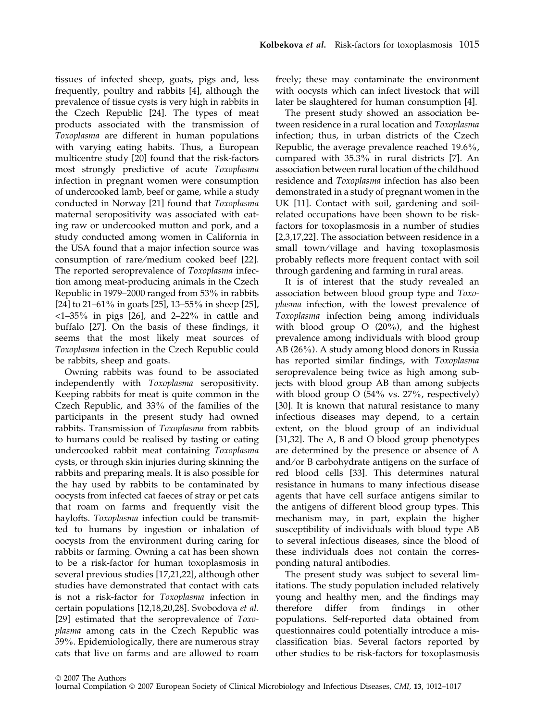tissues of infected sheep, goats, pigs and, less frequently, poultry and rabbits [4], although the prevalence of tissue cysts is very high in rabbits in the Czech Republic [24]. The types of meat products associated with the transmission of Toxoplasma are different in human populations with varying eating habits. Thus, a European multicentre study [20] found that the risk-factors most strongly predictive of acute Toxoplasma infection in pregnant women were consumption of undercooked lamb, beef or game, while a study conducted in Norway [21] found that Toxoplasma maternal seropositivity was associated with eating raw or undercooked mutton and pork, and a study conducted among women in California in the USA found that a major infection source was consumption of rare ⁄ medium cooked beef [22]. The reported seroprevalence of Toxoplasma infection among meat-producing animals in the Czech Republic in 1979–2000 ranged from 53% in rabbits [24] to 21–61% in goats [25], 13–55% in sheep [25], <1–35% in pigs [26], and 2–22% in cattle and buffalo [27]. On the basis of these findings, it seems that the most likely meat sources of Toxoplasma infection in the Czech Republic could be rabbits, sheep and goats.

Owning rabbits was found to be associated independently with Toxoplasma seropositivity. Keeping rabbits for meat is quite common in the Czech Republic, and 33% of the families of the participants in the present study had owned rabbits. Transmission of Toxoplasma from rabbits to humans could be realised by tasting or eating undercooked rabbit meat containing Toxoplasma cysts, or through skin injuries during skinning the rabbits and preparing meals. It is also possible for the hay used by rabbits to be contaminated by oocysts from infected cat faeces of stray or pet cats that roam on farms and frequently visit the haylofts. Toxoplasma infection could be transmitted to humans by ingestion or inhalation of oocysts from the environment during caring for rabbits or farming. Owning a cat has been shown to be a risk-factor for human toxoplasmosis in several previous studies [17,21,22], although other studies have demonstrated that contact with cats is not a risk-factor for Toxoplasma infection in certain populations [12,18,20,28]. Svobodova et al. [29] estimated that the seroprevalence of Toxoplasma among cats in the Czech Republic was 59%. Epidemiologically, there are numerous stray cats that live on farms and are allowed to roam freely; these may contaminate the environment with oocysts which can infect livestock that will later be slaughtered for human consumption [4].

The present study showed an association between residence in a rural location and Toxoplasma infection; thus, in urban districts of the Czech Republic, the average prevalence reached 19.6%, compared with 35.3% in rural districts [7]. An association between rural location of the childhood residence and Toxoplasma infection has also been demonstrated in a study of pregnant women in the UK [11]. Contact with soil, gardening and soilrelated occupations have been shown to be riskfactors for toxoplasmosis in a number of studies [2,3,17,22]. The association between residence in a small town/village and having toxoplasmosis probably reflects more frequent contact with soil through gardening and farming in rural areas.

It is of interest that the study revealed an association between blood group type and Toxoplasma infection, with the lowest prevalence of Toxoplasma infection being among individuals with blood group O (20%), and the highest prevalence among individuals with blood group AB (26%). A study among blood donors in Russia has reported similar findings, with Toxoplasma seroprevalence being twice as high among subjects with blood group AB than among subjects with blood group O (54% vs. 27%, respectively) [30]. It is known that natural resistance to many infectious diseases may depend, to a certain extent, on the blood group of an individual [31,32]. The A, B and O blood group phenotypes are determined by the presence or absence of A and/or B carbohydrate antigens on the surface of red blood cells [33]. This determines natural resistance in humans to many infectious disease agents that have cell surface antigens similar to the antigens of different blood group types. This mechanism may, in part, explain the higher susceptibility of individuals with blood type AB to several infectious diseases, since the blood of these individuals does not contain the corresponding natural antibodies.

The present study was subject to several limitations. The study population included relatively young and healthy men, and the findings may therefore differ from findings in other populations. Self-reported data obtained from questionnaires could potentially introduce a misclassification bias. Several factors reported by other studies to be risk-factors for toxoplasmosis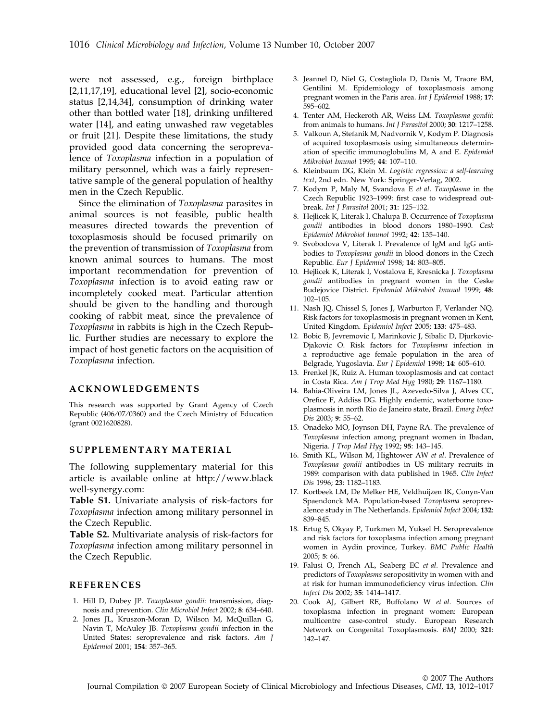were not assessed, e.g., foreign birthplace [2,11,17,19], educational level [2], socio-economic status [2,14,34], consumption of drinking water other than bottled water [18], drinking unfiltered water [14], and eating unwashed raw vegetables or fruit [21]. Despite these limitations, the study provided good data concerning the seroprevalence of Toxoplasma infection in a population of military personnel, which was a fairly representative sample of the general population of healthy men in the Czech Republic.

Since the elimination of Toxoplasma parasites in animal sources is not feasible, public health measures directed towards the prevention of toxoplasmosis should be focused primarily on the prevention of transmission of Toxoplasma from known animal sources to humans. The most important recommendation for prevention of Toxoplasma infection is to avoid eating raw or incompletely cooked meat. Particular attention should be given to the handling and thorough cooking of rabbit meat, since the prevalence of Toxoplasma in rabbits is high in the Czech Republic. Further studies are necessary to explore the impact of host genetic factors on the acquisition of Toxoplasma infection.

### ACKNOWLEDGEMENTS

This research was supported by Grant Agency of Czech Republic (406/07/0360) and the Czech Ministry of Education (grant 0021620828).

## SUPPLEMENTARY MATERIAL

The following supplementary material for this article is available online at http://www.black well-synergy.com:

Table S1. Univariate analysis of risk-factors for Toxoplasma infection among military personnel in the Czech Republic.

Table S2. Multivariate analysis of risk-factors for Toxoplasma infection among military personnel in the Czech Republic.

### REFERENCES

- 1. Hill D, Dubey JP. Toxoplasma gondii: transmission, diagnosis and prevention. Clin Microbiol Infect 2002; 8: 634–640.
- 2. Jones JL, Kruszon-Moran D, Wilson M, McQuillan G, Navin T, McAuley JB. Toxoplasma gondii infection in the United States: seroprevalence and risk factors. Am J Epidemiol 2001; 154: 357–365.
- 3. Jeannel D, Niel G, Costagliola D, Danis M, Traore BM, Gentilini M. Epidemiology of toxoplasmosis among pregnant women in the Paris area. Int J Epidemiol 1988; 17: 595–602.
- 4. Tenter AM, Heckeroth AR, Weiss LM. Toxoplasma gondii: from animals to humans. Int J Parasitol 2000; 30: 1217–1258.
- 5. Valkoun A, Stefanik M, Nadvornik V, Kodym P. Diagnosis of acquired toxoplasmosis using simultaneous determination of specific immunoglobulins M, A and E. Epidemiol Mikrobiol Imunol 1995; 44: 107–110.
- 6. Kleinbaum DG, Klein M. Logistic regression: a self-learning text, 2nd edn. New York: Springer-Verlag, 2002.
- 7. Kodym P, Maly M, Svandova E et al. Toxoplasma in the Czech Republic 1923–1999: first case to widespread outbreak. Int J Parasitol 2001; 31: 125–132.
- 8. Hejlicek K, Literak I, Chalupa B. Occurrence of Toxoplasma gondii antibodies in blood donors 1980–1990. Cesk Epidemiol Mikrobiol Imunol 1992; 42: 135–140.
- 9. Svobodova V, Literak I. Prevalence of IgM and IgG antibodies to Toxoplasma gondii in blood donors in the Czech Republic. Eur J Epidemiol 1998; 14: 803–805.
- 10. Hejlicek K, Literak I, Vostalova E, Kresnicka J. Toxoplasma gondii antibodies in pregnant women in the Ceske Budejovice District. Epidemiol Mikrobiol Imunol 1999; 48: 102–105.
- 11. Nash JQ, Chissel S, Jones J, Warburton F, Verlander NQ. Risk factors for toxoplasmosis in pregnant women in Kent, United Kingdom. Epidemiol Infect 2005; 133: 475–483.
- 12. Bobic B, Jevremovic I, Marinkovic J, Sibalic D, Djurkovic-Djakovic O. Risk factors for Toxoplasma infection in a reproductive age female population in the area of Belgrade, Yugoslavia. Eur J Epidemiol 1998; 14: 605–610.
- 13. Frenkel JK, Ruiz A. Human toxoplasmosis and cat contact in Costa Rica. Am J Trop Med Hyg 1980; 29: 1167–1180.
- 14. Bahia-Oliveira LM, Jones JL, Azevedo-Silva J, Alves CC, Orefice F, Addiss DG. Highly endemic, waterborne toxoplasmosis in north Rio de Janeiro state, Brazil. Emerg Infect Dis 2003; 9: 55–62.
- 15. Onadeko MO, Joynson DH, Payne RA. The prevalence of Toxoplasma infection among pregnant women in Ibadan, Nigeria. J Trop Med Hyg 1992; 95: 143–145.
- 16. Smith KL, Wilson M, Hightower AW et al. Prevalence of Toxoplasma gondii antibodies in US military recruits in 1989: comparison with data published in 1965. Clin Infect Dis 1996; 23: 1182–1183.
- 17. Kortbeek LM, De Melker HE, Veldhuijzen IK, Conyn-Van Spaendonck MA. Population-based Toxoplasma seroprevalence study in The Netherlands. Epidemiol Infect 2004; 132: 839–845.
- 18. Ertug S, Okyay P, Turkmen M, Yuksel H. Seroprevalence and risk factors for toxoplasma infection among pregnant women in Aydin province, Turkey. BMC Public Health 2005; 5: 66.
- 19. Falusi O, French AL, Seaberg EC et al. Prevalence and predictors of Toxoplasma seropositivity in women with and at risk for human immunodeficiency virus infection. Clin Infect Dis 2002; 35: 1414–1417.
- 20. Cook AJ, Gilbert RE, Buffolano W et al. Sources of toxoplasma infection in pregnant women: European multicentre case-control study. European Research Network on Congenital Toxoplasmosis. BMJ 2000; 321: 142–147.